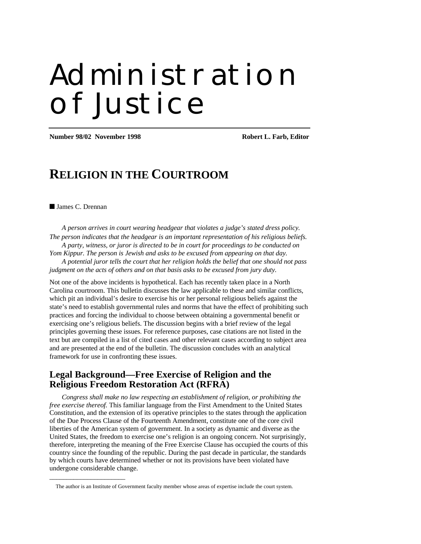# Administration of Justice

**Number 98/02 November 1998 Robert L. Farb, Editor**

## **RELIGION IN THE COURTROOM**

#### ■ James C. Drennan

\_\_\_\_\_\_\_\_\_\_\_\_\_\_\_\_\_\_\_\_\_\_

*A person arrives in court wearing headgear that violates a judge's stated dress policy. The person indicates that the headgear is an important representation of his religious beliefs.*

*A party, witness, or juror is directed to be in court for proceedings to be conducted on Yom Kippur. The person is Jewish and asks to be excused from appearing on that day. A potential juror tells the court that her religion holds the belief that one should not pass*

*judgment on the acts of others and on that basis asks to be excused from jury duty.*

Not one of the above incidents is hypothetical. Each has recently taken place in a North Carolina courtroom. This bulletin discusses the law applicable to these and similar conflicts, which pit an individual's desire to exercise his or her personal religious beliefs against the state's need to establish governmental rules and norms that have the effect of prohibiting such practices and forcing the individual to choose between obtaining a governmental benefit or exercising one's religious beliefs. The discussion begins with a brief review of the legal principles governing these issues. For reference purposes, case citations are not listed in the text but are compiled in a list of cited cases and other relevant cases according to subject area and are presented at the end of the bulletin. The discussion concludes with an analytical framework for use in confronting these issues.

## **Legal Background—Free Exercise of Religion and the Religious Freedom Restoration Act (RFRA)**

*Congress shall make no law respecting an establishment of religion, or prohibiting the free exercise thereof.* This familiar language from the First Amendment to the United States Constitution, and the extension of its operative principles to the states through the application of the Due Process Clause of the Fourteenth Amendment, constitute one of the core civil liberties of the American system of government. In a society as dynamic and diverse as the United States, the freedom to exercise one's religion is an ongoing concern. Not surprisingly, therefore, interpreting the meaning of the Free Exercise Clause has occupied the courts of this country since the founding of the republic. During the past decade in particular, the standards by which courts have determined whether or not its provisions have been violated have undergone considerable change.

The author is an Institute of Government faculty member whose areas of expertise include the court system.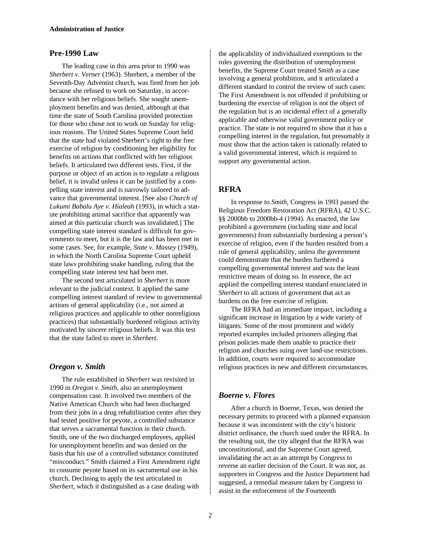#### **Pre-1990 Law**

The leading case in this area prior to 1990 was *Sherbert v. Verner* (1963). Sherbert, a member of the Seventh-Day Adventist church, was fired from her job because she refused to work on Saturday, in accordance with her religious beliefs. She sought unemployment benefits and was denied, although at that time the state of South Carolina provided protection for those who chose not to work on Sunday for religious reasons. The United States Supreme Court held that the state had violated Sherbert's right to the free exercise of religion by conditioning her eligibility for benefits on actions that conflicted with her religious beliefs. It articulated two different tests. First, if the purpose or object of an action is to regulate a religious belief, it is invalid unless it can be justified by a compelling state interest and is narrowly tailored to advance that governmental interest. [See also *Church of Lukumi Babalu Aye v. Hialeah* (1993), in which a statute prohibiting animal sacrifice that apparently was aimed at this particular church was invalidated.] The compelling state interest standard is difficult for governments to meet, but it is the law and has been met in some cases. See, for example, *State v. Massey* (1949), in which the North Carolina Supreme Court upheld state laws prohibiting snake handling, ruling that the compelling state interest test had been met.

The second test articulated in *Sherbert* is more relevant to the judicial context. It applied the same compelling interest standard of review to governmental actions of general applicability (i.e., not aimed at religious practices and applicable to other nonreligious practices) that substantially burdened religious activity motivated by sincere religious beliefs. It was this test that the state failed to meet in *Sherbert*.

#### *Oregon v. Smith*

The rule established in *Sherbert* was revisited in 1990 in *Oregon v. Smith*, also an unemployment compensation case. It involved two members of the Native American Church who had been discharged from their jobs in a drug rehabilitation center after they had tested positive for peyote, a controlled substance that serves a sacramental function in their church. Smith, one of the two discharged employees, applied for unemployment benefits and was denied on the basis that his use of a controlled substance constituted "misconduct." Smith claimed a First Amendment right to consume peyote based on its sacramental use in his church. Declining to apply the test articulated in *Sherbert*, which it distinguished as a case dealing with

the applicability of individualized exemptions to the rules governing the distribution of unemployment benefits, the Supreme Court treated *Smith* as a case involving a general prohibition, and it articulated a different standard to control the review of such cases: The First Amendment is not offended if prohibiting or burdening the exercise of religion is not the object of the regulation but is an incidental effect of a generally applicable and otherwise valid government policy or practice. The state is not required to show that it has a compelling interest in the regulation, but presumably it must show that the action taken is rationally related to a valid governmental interest, which is required to support any governmental action.

#### **RFRA**

In response to *Smith*, Congress in 1993 passed the Religious Freedom Restoration Act (RFRA), 42 U.S.C. §§ 2000bb to 2000bb-4 (1994). As enacted, the law prohibited a government (including state and local governments) from substantially burdening a person's exercise of religion, even if the burden resulted from a rule of general applicability, unless the government could demonstrate that the burden furthered a compelling governmental interest and was the least restrictive means of doing so. In essence, the act applied the compelling interest standard enunciated in *Sherbert* to all actions of government that act as burdens on the free exercise of religion.

The RFRA had an immediate impact, including a significant increase in litigation by a wide variety of litigants. Some of the most prominent and widely reported examples included prisoners alleging that prison policies made them unable to practice their religion and churches suing over land-use restrictions. In addition, courts were required to accommodate religious practices in new and different circumstances.

#### *Boerne v. Flores*

After a church in Boerne, Texas, was denied the necessary permits to proceed with a planned expansion because it was inconsistent with the city's historic district ordinance, the church sued under the RFRA. In the resulting suit, the city alleged that the RFRA was unconstitutional, and the Supreme Court agreed, invalidating the act as an attempt by Congress to reverse an earlier decision of the Court. It was not, as supporters in Congress and the Justice Department had suggested, a remedial measure taken by Congress to assist in the enforcement of the Fourteenth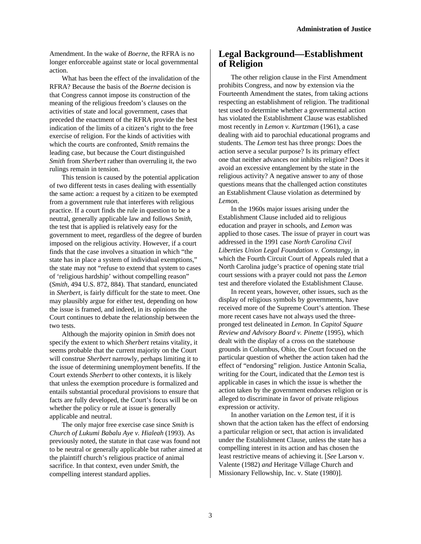Amendment. In the wake of *Boerne*, the RFRA is no longer enforceable against state or local governmental action.

What has been the effect of the invalidation of the RFRA? Because the basis of the *Boerne* decision is that Congress cannot impose its construction of the meaning of the religious freedom's clauses on the activities of state and local government, cases that preceded the enactment of the RFRA provide the best indication of the limits of a citizen's right to the free exercise of religion. For the kinds of activities with which the courts are confronted, *Smith* remains the leading case, but because the Court distinguished *Smith* from *Sherbert* rather than overruling it, the two rulings remain in tension.

This tension is caused by the potential application of two different tests in cases dealing with essentially the same action: a request by a citizen to be exempted from a government rule that interferes with religious practice. If a court finds the rule in question to be a neutral, generally applicable law and follows *Smith*, the test that is applied is relatively easy for the government to meet, regardless of the degree of burden imposed on the religious activity. However, if a court finds that the case involves a situation in which "the state has in place a system of individual exemptions," the state may not "refuse to extend that system to cases of 'religious hardship' without compelling reason" (*Smith*, 494 U.S. 872, 884). That standard, enunciated in *Sherbert*, is fairly difficult for the state to meet. One may plausibly argue for either test, depending on how the issue is framed, and indeed, in its opinions the Court continues to debate the relationship between the two tests.

Although the majority opinion in *Smith* does not specify the extent to which *Sherbert* retains vitality, it seems probable that the current majority on the Court will construe *Sherbert* narrowly, perhaps limiting it to the issue of determining unemployment benefits. If the Court extends *Sherbert* to other contexts, it is likely that unless the exemption procedure is formalized and entails substantial procedural provisions to ensure that facts are fully developed, the Court's focus will be on whether the policy or rule at issue is generally applicable and neutral.

The only major free exercise case since *Smith* is *Church of Lukumi Babalu Aye v. Hialeah* (1993). As previously noted, the statute in that case was found not to be neutral or generally applicable but rather aimed at the plaintiff church's religious practice of animal sacrifice. In that context, even under *Smith*, the compelling interest standard applies.

## **Legal Background—Establishment of Religion**

The other religion clause in the First Amendment prohibits Congress, and now by extension via the Fourteenth Amendment the states, from taking actions respecting an establishment of religion. The traditional test used to determine whether a governmental action has violated the Establishment Clause was established most recently in *Lemon v. Kurtzman* (1961), a case dealing with aid to parochial educational programs and students. The *Lemon* test has three prongs: Does the action serve a secular purpose? Is its primary effect one that neither advances nor inhibits religion? Does it avoid an excessive entanglement by the state in the religious activity? A negative answer to any of those questions means that the challenged action constitutes an Establishment Clause violation as determined by *Lemon*.

In the 1960s major issues arising under the Establishment Clause included aid to religious education and prayer in schools, and *Lemon* was applied to those cases. The issue of prayer in court was addressed in the 1991 case *North Carolina Civil Liberties Union Legal Foundation v. Constangy*, in which the Fourth Circuit Court of Appeals ruled that a North Carolina judge's practice of opening state trial court sessions with a prayer could not pass the *Lemon* test and therefore violated the Establishment Clause.

In recent years, however, other issues, such as the display of religious symbols by governments, have received more of the Supreme Court's attention. These more recent cases have not always used the threepronged test delineated in *Lemon*. In *Capitol Square Review and Advisory Board v. Pinette* (1995), which dealt with the display of a cross on the statehouse grounds in Columbus, Ohio, the Court focused on the particular question of whether the action taken had the effect of "endorsing" religion. Justice Antonin Scalia, writing for the Court, indicated that the *Lemon* test is applicable in cases in which the issue is whether the action taken by the government endorses religion or is alleged to discriminate in favor of private religious expression or activity.

In another variation on the *Lemon* test, if it is shown that the action taken has the effect of endorsing a particular religion or sect, that action is invalidated under the Establishment Clause, unless the state has a compelling interest in its action and has chosen the least restrictive means of achieving it. [*See* Larson v. Valente (1982) *and* Heritage Village Church and Missionary Fellowship, Inc. v. State (1980)].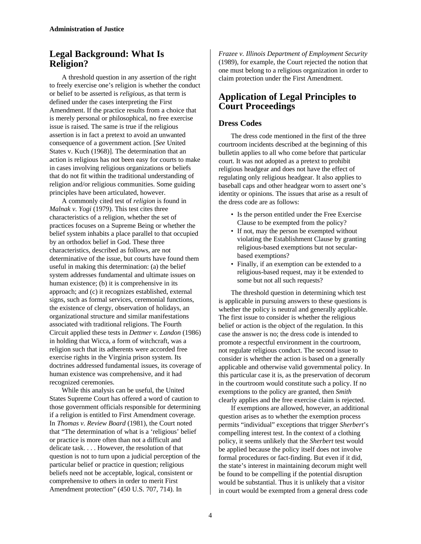## **Legal Background: What Is Religion?**

A threshold question in any assertion of the right to freely exercise one's religion is whether the conduct or belief to be asserted is *religious*, as that term is defined under the cases interpreting the First Amendment. If the practice results from a choice that is merely personal or philosophical, no free exercise issue is raised. The same is true if the religious assertion is in fact a pretext to avoid an unwanted consequence of a government action. [*See* United States v. Kuch (1968)]. The determination that an action is religious has not been easy for courts to make in cases involving religious organizations or beliefs that do not fit within the traditional understanding of religion and/or religious communities. Some guiding principles have been articulated, however.

A commonly cited test of *religion* is found in *Malnak v. Yogi* (1979). This test cites three characteristics of a religion, whether the set of practices focuses on a Supreme Being or whether the belief system inhabits a place parallel to that occupied by an orthodox belief in God. These three characteristics, described as follows, are not determinative of the issue, but courts have found them useful in making this determination: (a) the belief system addresses fundamental and ultimate issues on human existence; (b) it is comprehensive in its approach; and (c) it recognizes established, external signs, such as formal services, ceremonial functions, the existence of clergy, observation of holidays, an organizational structure and similar manifestations associated with traditional religions. The Fourth Circuit applied these tests in *Dettmer v. Landon* (1986) in holding that Wicca, a form of witchcraft, was a religion such that its adherents were accorded free exercise rights in the Virginia prison system. Its doctrines addressed fundamental issues, its coverage of human existence was comprehensive, and it had recognized ceremonies.

While this analysis can be useful, the United States Supreme Court has offered a word of caution to those government officials responsible for determining if a religion is entitled to First Amendment coverage. In *Thomas v. Review Board* (1981), the Court noted that "The determination of what is a 'religious' belief or practice is more often than not a difficult and delicate task. . . . However, the resolution of that question is not to turn upon a judicial perception of the particular belief or practice in question; religious beliefs need not be acceptable, logical, consistent or comprehensive to others in order to merit First Amendment protection" (450 U.S. 707, 714). In

*Frazee v. Illinois Department of Employment Security* (1989), for example, the Court rejected the notion that one must belong to a religious organization in order to claim protection under the First Amendment.

## **Application of Legal Principles to Court Proceedings**

#### **Dress Codes**

The dress code mentioned in the first of the three courtroom incidents described at the beginning of this bulletin applies to all who come before that particular court. It was not adopted as a pretext to prohibit religious headgear and does not have the effect of regulating only religious headgear. It also applies to baseball caps and other headgear worn to assert one's identity or opinions. The issues that arise as a result of the dress code are as follows:

- Is the person entitled under the Free Exercise Clause to be exempted from the policy?
- If not, may the person be exempted without violating the Establishment Clause by granting religious-based exemptions but not secularbased exemptions?
- Finally, if an exemption can be extended to a religious-based request, may it be extended to some but not all such requests?

The threshold question in determining which test is applicable in pursuing answers to these questions is whether the policy is neutral and generally applicable. The first issue to consider is whether the religious belief or action is the object of the regulation. In this case the answer is no; the dress code is intended to promote a respectful environment in the courtroom, not regulate religious conduct. The second issue to consider is whether the action is based on a generally applicable and otherwise valid governmental policy. In this particular case it is, as the preservation of decorum in the courtroom would constitute such a policy. If no exemptions to the policy are granted, then *Smith* clearly applies and the free exercise claim is rejected.

If exemptions are allowed, however, an additional question arises as to whether the exemption process permits "individual" exceptions that trigger *Sherbert*'s compelling interest test. In the context of a clothing policy, it seems unlikely that the *Sherbert* test would be applied because the policy itself does not involve formal procedures or fact-finding. But even if it did, the state's interest in maintaining decorum might well be found to be compelling if the potential disruption would be substantial. Thus it is unlikely that a visitor in court would be exempted from a general dress code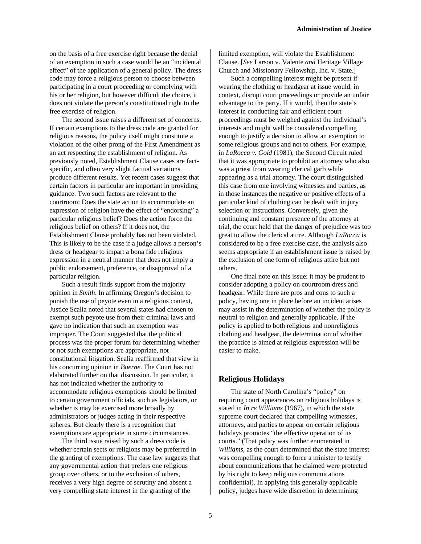on the basis of a free exercise right because the denial of an exemption in such a case would be an "incidental effect" of the application of a general policy. The dress code may force a religious person to choose between participating in a court proceeding or complying with his or her religion, but however difficult the choice, it does not violate the person's constitutional right to the free exercise of religion.

The second issue raises a different set of concerns. If certain exemptions to the dress code are granted for religious reasons, the policy itself might constitute a violation of the other prong of the First Amendment as an act respecting the establishment of religion. As previously noted, Establishment Clause cases are factspecific, and often very slight factual variations produce different results. Yet recent cases suggest that certain factors in particular are important in providing guidance. Two such factors are relevant to the courtroom: Does the state action to accommodate an expression of religion have the effect of "endorsing" a particular religious belief? Does the action force the religious belief on others? If it does not, the Establishment Clause probably has not been violated. This is likely to be the case if a judge allows a person's dress or headgear to impart a bona fide religious expression in a neutral manner that does not imply a public endorsement, preference, or disapproval of a particular religion.

Such a result finds support from the majority opinion in *Smith*. In affirming Oregon's decision to punish the use of peyote even in a religious context, Justice Scalia noted that several states had chosen to exempt such peyote use from their criminal laws and gave no indication that such an exemption was improper. The Court suggested that the political process was the proper forum for determining whether or not such exemptions are appropriate, not constitutional litigation. Scalia reaffirmed that view in his concurring opinion in *Boerne*. The Court has not elaborated further on that discussion. In particular, it has not indicated whether the authority to accommodate religious exemptions should be limited to certain government officials, such as legislators, or whether is may be exercised more broadly by administrators or judges acting in their respective spheres. But clearly there is a recognition that exemptions are appropriate in some circumstances.

The third issue raised by such a dress code is whether certain sects or religions may be preferred in the granting of exemptions. The case law suggests that any governmental action that prefers one religious group over others, or to the exclusion of others, receives a very high degree of scrutiny and absent a very compelling state interest in the granting of the

limited exemption, will violate the Establishment Clause. [*See* Larson v. Valente *and* Heritage Village Church and Missionary Fellowship, Inc. v. State.]

Such a compelling interest might be present if wearing the clothing or headgear at issue would, in context, disrupt court proceedings or provide an unfair advantage to the party. If it would, then the state's interest in conducting fair and efficient court proceedings must be weighed against the individual's interests and might well be considered compelling enough to justify a decision to allow an exemption to some religious groups and not to others. For example, in *LaRocca v. Gold* (1981), the Second Circuit ruled that it was appropriate to prohibit an attorney who also was a priest from wearing clerical garb while appearing as a trial attorney. The court distinguished this case from one involving witnesses and parties, as in those instances the negative or positive effects of a particular kind of clothing can be dealt with in jury selection or instructions. Conversely, given the continuing and constant presence of the attorney at trial, the court held that the danger of prejudice was too great to allow the clerical attire. Although *LaRocca* is considered to be a free exercise case, the analysis also seems appropriate if an establishment issue is raised by the exclusion of one form of religious attire but not others.

One final note on this issue: it may be prudent to consider adopting a policy on courtroom dress and headgear. While there are pros and cons to such a policy, having one in place before an incident arises may assist in the determination of whether the policy is neutral to religion and generally applicable. If the policy is applied to both religious and nonreligious clothing and headgear, the determination of whether the practice is aimed at religious expression will be easier to make.

#### **Religious Holidays**

The state of North Carolina's "policy" on requiring court appearances on religious holidays is stated in *In re Williams* (1967), in which the state supreme court declared that compelling witnesses, attorneys, and parties to appear on certain religious holidays promotes "the effective operation of its courts." (That policy was further enumerated in *Williams*, as the court determined that the state interest was compelling enough to force a minister to testify about communications that he claimed were protected by his right to keep religious communications confidential). In applying this generally applicable policy, judges have wide discretion in determining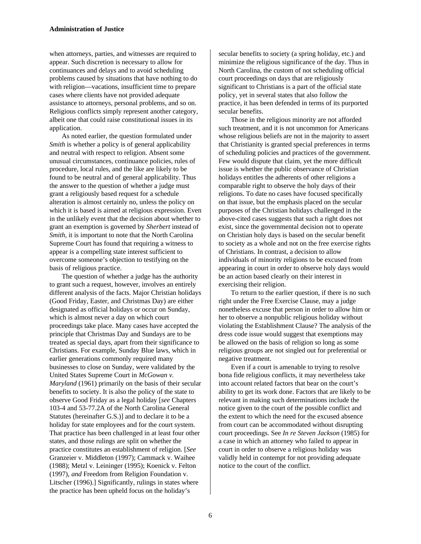when attorneys, parties, and witnesses are required to appear. Such discretion is necessary to allow for continuances and delays and to avoid scheduling problems caused by situations that have nothing to do with religion—vacations, insufficient time to prepare cases where clients have not provided adequate assistance to attorneys, personal problems, and so on. Religious conflicts simply represent another category, albeit one that could raise constitutional issues in its application.

As noted earlier, the question formulated under *Smith* is whether a policy is of general applicability and neutral with respect to religion. Absent some unusual circumstances, continuance policies, rules of procedure, local rules, and the like are likely to be found to be neutral and of general applicability. Thus the answer to the question of whether a judge must grant a religiously based request for a schedule alteration is almost certainly no, unless the policy on which it is based is aimed at religious expression. Even in the unlikely event that the decision about whether to grant an exemption is governed by *Sherbert* instead of *Smith*, it is important to note that the North Carolina Supreme Court has found that requiring a witness to appear is a compelling state interest sufficient to overcome someone's objection to testifying on the basis of religious practice.

The question of whether a judge has the authority to grant such a request, however, involves an entirely different analysis of the facts. Major Christian holidays (Good Friday, Easter, and Christmas Day) are either designated as official holidays or occur on Sunday, which is almost never a day on which court proceedings take place. Many cases have accepted the principle that Christmas Day and Sundays are to be treated as special days, apart from their significance to Christians. For example, Sunday Blue laws, which in earlier generations commonly required many businesses to close on Sunday, were validated by the United States Supreme Court in *McGowan v. Maryland* (1961) primarily on the basis of their secular benefits to society. It is also the policy of the state to observe Good Friday as a legal holiday [*see* Chapters 103-4 and 53-77.2A of the North Carolina General Statutes (hereinafter G.S.)] and to declare it to be a holiday for state employees and for the court system. That practice has been challenged in at least four other states, and those rulings are split on whether the practice constitutes an establishment of religion. [*See* Granzeier v. Middleton (1997); Cammack v. Waihee (1988); Metzl v. Leininger (1995); Koenick v. Felton (1997), *and* Freedom from Religion Foundation v. Litscher (1996).] Significantly, rulings in states where the practice has been upheld focus on the holiday's

secular benefits to society (a spring holiday, etc.) and minimize the religious significance of the day. Thus in North Carolina, the custom of not scheduling official court proceedings on days that are religiously significant to Christians is a part of the official state policy, yet in several states that also follow the practice, it has been defended in terms of its purported secular benefits.

Those in the religious minority are not afforded such treatment, and it is not uncommon for Americans whose religious beliefs are not in the majority to assert that Christianity is granted special preferences in terms of scheduling policies and practices of the government. Few would dispute that claim, yet the more difficult issue is whether the public observance of Christian holidays entitles the adherents of other religions a comparable right to observe the holy days of their religions. To date no cases have focused specifically on that issue, but the emphasis placed on the secular purposes of the Christian holidays challenged in the above-cited cases suggests that such a right does not exist, since the governmental decision not to operate on Christian holy days is based on the secular benefit to society as a whole and not on the free exercise rights of Christians. In contrast, a decision to allow individuals of minority religions to be excused from appearing in court in order to observe holy days would be an action based clearly on their interest in exercising their religion.

To return to the earlier question, if there is no such right under the Free Exercise Clause, may a judge nonetheless excuse that person in order to allow him or her to observe a nonpublic religious holiday without violating the Establishment Clause? The analysis of the dress code issue would suggest that exemptions may be allowed on the basis of religion so long as some religious groups are not singled out for preferential or negative treatment.

Even if a court is amenable to trying to resolve bona fide religious conflicts, it may nevertheless take into account related factors that bear on the court's ability to get its work done. Factors that are likely to be relevant in making such determinations include the notice given to the court of the possible conflict and the extent to which the need for the excused absence from court can be accommodated without disrupting court proceedings. See *In re Steven Jackson* (1985) for a case in which an attorney who failed to appear in court in order to observe a religious holiday was validly held in contempt for not providing adequate notice to the court of the conflict.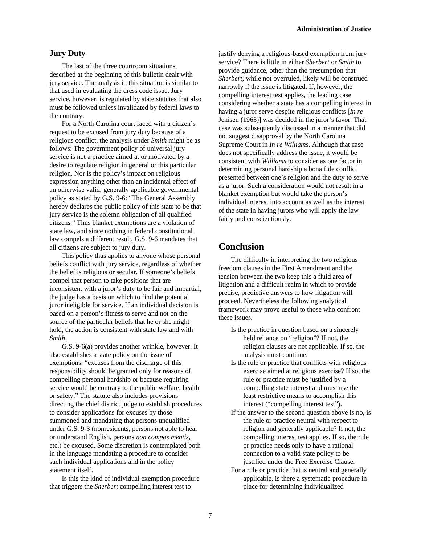#### **Jury Duty**

The last of the three courtroom situations described at the beginning of this bulletin dealt with jury service. The analysis in this situation is similar to that used in evaluating the dress code issue. Jury service, however, is regulated by state statutes that also must be followed unless invalidated by federal laws to the contrary.

For a North Carolina court faced with a citizen's request to be excused from jury duty because of a religious conflict, the analysis under *Smith* might be as follows: The government policy of universal jury service is not a practice aimed at or motivated by a desire to regulate religion in general or this particular religion. Nor is the policy's impact on religious expression anything other than an incidental effect of an otherwise valid, generally applicable governmental policy as stated by G.S. 9-6: "The General Assembly hereby declares the public policy of this state to be that jury service is the solemn obligation of all qualified citizens." Thus blanket exemptions are a violation of state law, and since nothing in federal constitutional law compels a different result, G.S. 9-6 mandates that all citizens are subject to jury duty.

This policy thus applies to anyone whose personal beliefs conflict with jury service, regardless of whether the belief is religious or secular. If someone's beliefs compel that person to take positions that are inconsistent with a juror's duty to be fair and impartial, the judge has a basis on which to find the potential juror ineligible for service. If an individual decision is based on a person's fitness to serve and not on the source of the particular beliefs that he or she might hold, the action is consistent with state law and with *Smith*.

G.S. 9-6(a) provides another wrinkle, however. It also establishes a state policy on the issue of exemptions: "excuses from the discharge of this responsibility should be granted only for reasons of compelling personal hardship or because requiring service would be contrary to the public welfare, health or safety." The statute also includes provisions directing the chief district judge to establish procedures to consider applications for excuses by those summoned and mandating that persons unqualified under G.S. 9-3 (nonresidents, persons not able to hear or understand English, persons *non compos mentis*, etc.) be excused. Some discretion is contemplated both in the language mandating a procedure to consider such individual applications and in the policy statement itself.

Is this the kind of individual exemption procedure that triggers the *Sherbert* compelling interest test to

justify denying a religious-based exemption from jury service? There is little in either *Sherbert* or *Smith* to provide guidance, other than the presumption that *Sherbert*, while not overruled, likely will be construed narrowly if the issue is litigated. If, however, the compelling interest test applies, the leading case considering whether a state has a compelling interest in having a juror serve despite religious conflicts [*In re* Jenisen (1963)] was decided in the juror's favor. That case was subsequently discussed in a manner that did not suggest disapproval by the North Carolina Supreme Court in *In re Williams*. Although that case does not specifically address the issue, it would be consistent with *Williams* to consider as one factor in determining personal hardship a bona fide conflict presented between one's religion and the duty to serve as a juror. Such a consideration would not result in a blanket exemption but would take the person's individual interest into account as well as the interest of the state in having jurors who will apply the law fairly and conscientiously.

## **Conclusion**

The difficulty in interpreting the two religious freedom clauses in the First Amendment and the tension between the two keep this a fluid area of litigation and a difficult realm in which to provide precise, predictive answers to how litigation will proceed. Nevertheless the following analytical framework may prove useful to those who confront these issues.

- Is the practice in question based on a sincerely held reliance on "religion"? If not, the religion clauses are not applicable. If so, the analysis must continue.
- Is the rule or practice that conflicts with religious exercise aimed at religious exercise? If so, the rule or practice must be justified by a compelling state interest and must use the least restrictive means to accomplish this interest ("compelling interest test").
- If the answer to the second question above is no, is the rule or practice neutral with respect to religion and generally applicable? If not, the compelling interest test applies. If so, the rule or practice needs only to have a rational connection to a valid state policy to be justified under the Free Exercise Clause.
- For a rule or practice that is neutral and generally applicable, is there a systematic procedure in place for determining individualized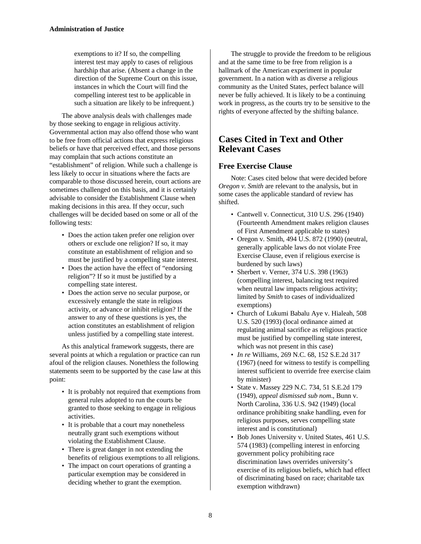exemptions to it? If so, the compelling interest test may apply to cases of religious hardship that arise. (Absent a change in the direction of the Supreme Court on this issue, instances in which the Court will find the compelling interest test to be applicable in such a situation are likely to be infrequent.)

The above analysis deals with challenges made by those seeking to engage in religious activity. Governmental action may also offend those who want to be free from official actions that express religious beliefs or have that perceived effect, and those persons may complain that such actions constitute an "establishment" of religion. While such a challenge is less likely to occur in situations where the facts are comparable to those discussed herein, court actions are sometimes challenged on this basis, and it is certainly advisable to consider the Establishment Clause when making decisions in this area. If they occur, such challenges will be decided based on some or all of the following tests:

- Does the action taken prefer one religion over others or exclude one religion? If so, it may constitute an establishment of religion and so must be justified by a compelling state interest.
- Does the action have the effect of "endorsing religion"? If so it must be justified by a compelling state interest.
- Does the action serve no secular purpose, or excessively entangle the state in religious activity, or advance or inhibit religion? If the answer to any of these questions is yes, the action constitutes an establishment of religion unless justified by a compelling state interest.

As this analytical framework suggests, there are several points at which a regulation or practice can run afoul of the religion clauses. Nonethless the following statements seem to be supported by the case law at this point:

- It is probably not required that exemptions from general rules adopted to run the courts be granted to those seeking to engage in religious activities.
- It is probable that a court may nonetheless neutrally grant such exemptions without violating the Establishment Clause.
- There is great danger in not extending the benefits of religious exemptions to all religions.
- The impact on court operations of granting a particular exemption may be considered in deciding whether to grant the exemption.

The struggle to provide the freedom to be religious and at the same time to be free from religion is a hallmark of the American experiment in popular government. In a nation with as diverse a religious community as the United States, perfect balance will never be fully achieved. It is likely to be a continuing work in progress, as the courts try to be sensitive to the rights of everyone affected by the shifting balance.

## **Cases Cited in Text and Other Relevant Cases**

#### **Free Exercise Clause**

Note: Cases cited below that were decided before *Oregon v. Smith* are relevant to the analysis, but in some cases the applicable standard of review has shifted.

- Cantwell v. Connecticut, 310 U.S. 296 (1940) (Fourteenth Amendment makes religion clauses of First Amendment applicable to states)
- Oregon v. Smith, 494 U.S. 872 (1990) (neutral, generally applicable laws do not violate Free Exercise Clause, even if religious exercise is burdened by such laws)
- Sherbert v. Verner, 374 U.S. 398 (1963) (compelling interest, balancing test required when neutral law impacts religious activity; limited by *Smith* to cases of individualized exemptions)
- Church of Lukumi Babalu Aye v. Hialeah, 508 U.S. 520 (1993) (local ordinance aimed at regulating animal sacrifice as religious practice must be justified by compelling state interest, which was not present in this case)
- *In re* Williams, 269 N.C. 68, 152 S.E.2d 317 (1967) (need for witness to testify is compelling interest sufficient to override free exercise claim by minister)
- State v. Massey 229 N.C. 734, 51 S.E.2d 179 (1949), *appeal dismissed sub nom*., Bunn v. North Carolina, 336 U.S. 942 (1949) (local ordinance prohibiting snake handling, even for religious purposes, serves compelling state interest and is constitutional)
- Bob Jones University v. United States, 461 U.S. 574 (1983) (compelling interest in enforcing government policy prohibiting race discrimination laws overrides university's exercise of its religious beliefs, which had effect of discriminating based on race; charitable tax exemption withdrawn)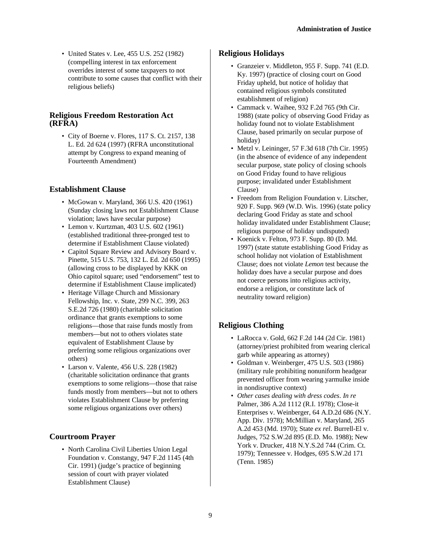• United States v. Lee, 455 U.S. 252 (1982) (compelling interest in tax enforcement overrides interest of some taxpayers to not contribute to some causes that conflict with their religious beliefs)

## **Religious Freedom Restoration Act (RFRA)**

• City of Boerne v. Flores, 117 S. Ct. 2157, 138 L. Ed. 2d 624 (1997) (RFRA unconstitutional attempt by Congress to expand meaning of Fourteenth Amendment)

## **Establishment Clause**

- McGowan v. Maryland, 366 U.S. 420 (1961) (Sunday closing laws not Establishment Clause violation; laws have secular purpose)
- Lemon v. Kurtzman, 403 U.S. 602 (1961) (established traditional three-pronged test to determine if Establishment Clause violated)
- Capitol Square Review and Advisory Board v. Pinette, 515 U.S. 753, 132 L. Ed. 2d 650 (1995) (allowing cross to be displayed by KKK on Ohio capitol square; used "endorsement" test to determine if Establishment Clause implicated)
- Heritage Village Church and Missionary Fellowship, Inc. v. State, 299 N.C. 399, 263 S.E.2d 726 (1980) (charitable solicitation ordinance that grants exemptions to some religions—those that raise funds mostly from members—but not to others violates state equivalent of Establishment Clause by preferring some religious organizations over others)
- Larson v. Valente, 456 U.S. 228 (1982) (charitable solicitation ordinance that grants exemptions to some religions—those that raise funds mostly from members—but not to others violates Establishment Clause by preferring some religious organizations over others)

## **Courtroom Prayer**

• North Carolina Civil Liberties Union Legal Foundation v. Constangy, 947 F.2d 1145 (4th Cir. 1991) (judge's practice of beginning session of court with prayer violated Establishment Clause)

## **Religious Holidays**

- Granzeier v. Middleton, 955 F. Supp. 741 (E.D. Ky. 1997) (practice of closing court on Good Friday upheld, but notice of holiday that contained religious symbols constituted establishment of religion)
- Cammack v. Waihee, 932 F.2d 765 (9th Cir. 1988) (state policy of observing Good Friday as holiday found not to violate Establishment Clause, based primarily on secular purpose of holiday)
- Metzl v. Leininger, 57 F.3d 618 (7th Cir. 1995) (in the absence of evidence of any independent secular purpose, state policy of closing schools on Good Friday found to have religious purpose; invalidated under Establishment Clause)
- Freedom from Religion Foundation v. Litscher, 920 F. Supp. 969 (W.D. Wis. 1996) (state policy declaring Good Friday as state and school holiday invalidated under Establishment Clause; religious purpose of holiday undisputed)
- Koenick v. Felton, 973 F. Supp. 80 (D. Md. 1997) (state statute establishing Good Friday as school holiday not violation of Establishment Clause; does not violate *Lemon* test because the holiday does have a secular purpose and does not coerce persons into religious activity, endorse a religion, or constitute lack of neutrality toward religion)

## **Religious Clothing**

- LaRocca v. Gold, 662 F.2d 144 (2d Cir. 1981) (attorney/priest prohibited from wearing clerical garb while appearing as attorney)
- Goldman v. Weinberger, 475 U.S. 503 (1986) (military rule prohibiting nonuniform headgear prevented officer from wearing yarmulke inside in nondisruptive context)
- *Other cases dealing with dress codes*. *In re* Palmer, 386 A.2d 1112 (R.I. 1978); Close-it Enterprises v. Weinberger, 64 A.D.2d 686 (N.Y. App. Div. 1978); McMillian v. Maryland, 265 A.2d 453 (Md. 1970); State *ex rel*. Burrell-El v. Judges, 752 S.W.2d 895 (E.D. Mo. 1988); New York v. Drucker, 418 N.Y.S.2d 744 (Crim. Ct. 1979); Tennessee v. Hodges, 695 S.W.2d 171 (Tenn. 1985)